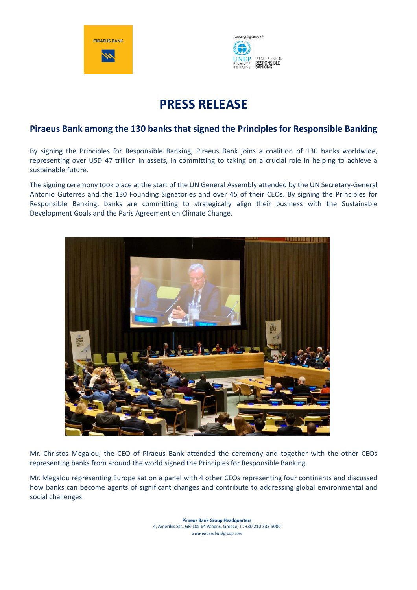



# **PRESS RELEASE**

## **Piraeus Bank among the 130 banks that signed the Principles for Responsible Banking**

By signing the Principles for Responsible Banking, Piraeus Bank joins a coalition of 130 banks worldwide, representing over USD 47 trillion in assets, in committing to taking on a crucial role in helping to achieve a sustainable future.

The signing ceremony took place at the start of the UN General Assembly attended by the UN Secretary-General Antonio Guterres and the 130 Founding Signatories and over 45 of their CEOs. By signing the Principles for Responsible Banking, banks are committing to strategically align their business with the Sustainable Development Goals and the Paris Agreement on Climate Change.



Mr. Christos Megalou, the CEO of Piraeus Bank attended the ceremony and together with the other CEOs representing banks from around the world signed the Principles for Responsible Banking.

Mr. Megalou representing Europe sat on a panel with 4 other CEOs representing four continents and discussed how banks can become agents of significant changes and contribute to addressing global environmental and social challenges.

> **Piraeus Bank Group Headquarters** 4, Amerikis Str., GR-105 64 Athens, Greece, T.: +30 210 333 5000 www.piraeusbankgroup.com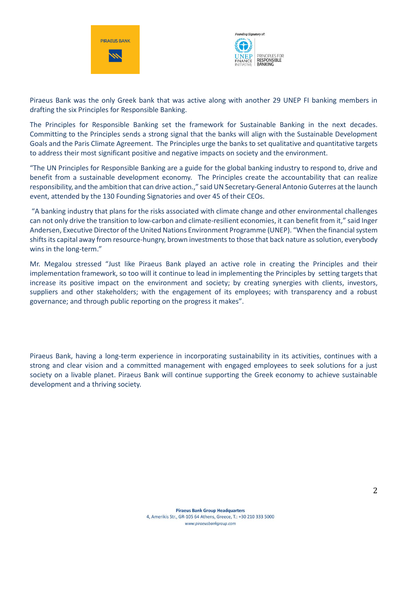



Piraeus Bank was the only Greek bank that was active along with another 29 UNEP FI banking members in drafting the six Principles for Responsible Banking.

The Principles for Responsible Banking set the framework for Sustainable Banking in the next decades. Committing to the Principles sends a strong signal that the banks will align with the Sustainable Development Goals and the Paris Climate Agreement. The Principles urge the banks to set qualitative and quantitative targets to address their most significant positive and negative impacts on society and the environment.

"The UN Principles for Responsible Banking are a guide for the global banking industry to respond to, drive and benefit from a sustainable development economy. The Principles create the accountability that can realize responsibility, and the ambition that can drive action.," said UN Secretary-General Antonio Guterres at the launch event, attended by the 130 Founding Signatories and over 45 of their CEOs.

"A banking industry that plans for the risks associated with climate change and other environmental challenges can not only drive the transition to low-carbon and climate-resilient economies, it can benefit from it," said Inger Andersen, Executive Director of the United Nations Environment Programme (UNEP). "When the financial system shifts its capital away from resource-hungry, brown investments to those that back nature as solution, everybody wins in the long-term."

Mr. Megalou stressed "Just like Piraeus Bank played an active role in creating the Principles and their implementation framework, so too will it continue to lead in implementing the Principles by setting targets that increase its positive impact on the environment and society; by creating synergies with clients, investors, suppliers and other stakeholders; with the engagement of its employees; with transparency and a robust governance; and through public reporting on the progress it makes".

Piraeus Bank, having a long-term experience in incorporating sustainability in its activities, continues with a strong and clear vision and a committed management with engaged employees to seek solutions for a just society on a livable planet. Piraeus Bank will continue supporting the Greek economy to achieve sustainable development and a thriving society.